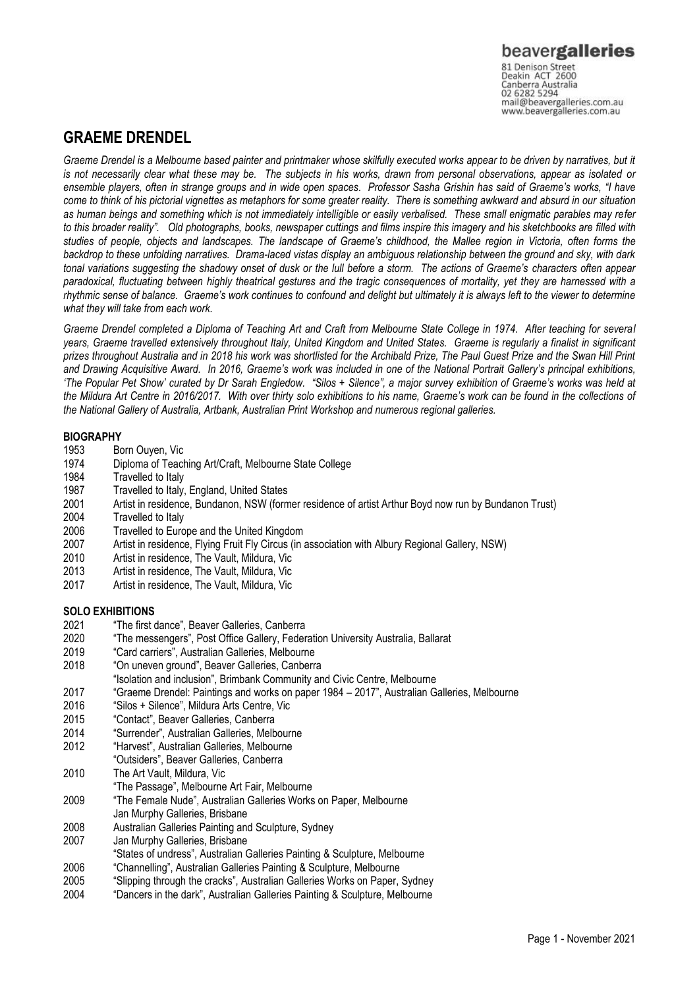Canberra Australia 02 6282 5294 mail@beavergalleries.com.au www.beavergalleries.com.au

# **GRAEME DRENDEL**

*Graeme Drendel is a Melbourne based painter and printmaker whose skilfully executed works appear to be driven by narratives, but it is not necessarily clear what these may be. The subjects in his works, drawn from personal observations, appear as isolated or ensemble players, often in strange groups and in wide open spaces. Professor Sasha Grishin has said of Graeme's works, "I have come to think of his pictorial vignettes as metaphors for some greater reality. There is something awkward and absurd in our situation as human beings and something which is not immediately intelligible or easily verbalised. These small enigmatic parables may refer to this broader reality". Old photographs, books, newspaper cuttings and films inspire this imagery and his sketchbooks are filled with studies of people, objects and landscapes. The landscape of Graeme's childhood, the Mallee region in Victoria, often forms the backdrop to these unfolding narratives. Drama-laced vistas display an ambiguous relationship between the ground and sky, with dark tonal variations suggesting the shadowy onset of dusk or the lull before a storm. The actions of Graeme's characters often appear paradoxical, fluctuating between highly theatrical gestures and the tragic consequences of mortality, yet they are harnessed with a rhythmic sense of balance. Graeme's work continues to confound and delight but ultimately it is always left to the viewer to determine what they will take from each work.*

*Graeme Drendel completed a Diploma of Teaching Art and Craft from Melbourne State College in 1974. After teaching for several years, Graeme travelled extensively throughout Italy, United Kingdom and United States. Graeme is regularly a finalist in significant prizes throughout Australia and in 2018 his work was shortlisted for the Archibald Prize, The Paul Guest Prize and the Swan Hill Print and Drawing Acquisitive Award. In 2016, Graeme's work was included in one of the National Portrait Gallery's principal exhibitions, 'The Popular Pet Show' curated by Dr Sarah Engledow. "Silos + Silence", a major survey exhibition of Graeme's works was held at the Mildura Art Centre in 2016/2017. With over thirty solo exhibitions to his name, Graeme's work can be found in the collections of the National Gallery of Australia, Artbank, Australian Print Workshop and numerous regional galleries.* 

## **BIOGRAPHY**

- 1953 Born Ouyen, Vic
- 1974 Diploma of Teaching Art/Craft, Melbourne State College
- 1984 Travelled to Italy
- 1987 Travelled to Italy, England, United States
- 2001 Artist in residence, Bundanon, NSW (former residence of artist Arthur Boyd now run by Bundanon Trust)
- 2004 Travelled to Italy
- 2006 Travelled to Europe and the United Kingdom<br>2007 Artist in residence. Flying Fruit Fly Circus (in
- 2007 Artist in residence, Flying Fruit Fly Circus (in association with Albury Regional Gallery, NSW)<br>2010 Artist in residence. The Vault, Mildura, Vic
- 2010 Artist in residence, The Vault, Mildura, Vic<br>2013 Artist in residence. The Vault. Mildura. Vic
- 2013 Artist in residence, The Vault, Mildura, Vic
- Artist in residence, The Vault, Mildura, Vic

## **SOLO EXHIBITIONS**

- 2021 "The first dance", Beaver Galleries, Canberra
- 2020 "The messengers", Post Office Gallery, Federation University Australia, Ballarat
- 2019 "Card carriers", Australian Galleries, Melbourne
- 2018 "On uneven ground", Beaver Galleries, Canberra
- "Isolation and inclusion", Brimbank Community and Civic Centre, Melbourne
- 2017 "Graeme Drendel: Paintings and works on paper 1984 2017", Australian Galleries, Melbourne
- 2016 "Silos + Silence", Mildura Arts Centre, Vic
- 2015 "Contact", Beaver Galleries, Canberra
- 2014 "Surrender", Australian Galleries, Melbourne
- 2012 "Harvest", Australian Galleries, Melbourne
- "Outsiders", Beaver Galleries, Canberra
- 2010 The Art Vault, Mildura, Vic
- "The Passage", Melbourne Art Fair, Melbourne
- 2009 "The Female Nude", Australian Galleries Works on Paper, Melbourne
- Jan Murphy Galleries, Brisbane
- 2008 Australian Galleries Painting and Sculpture, Sydney
- 2007 Jan Murphy Galleries, Brisbane
- "States of undress", Australian Galleries Painting & Sculpture, Melbourne
- 2006 "Channelling", Australian Galleries Painting & Sculpture, Melbourne
- 2005 "Slipping through the cracks", Australian Galleries Works on Paper, Sydney
- "Dancers in the dark", Australian Galleries Painting & Sculpture, Melbourne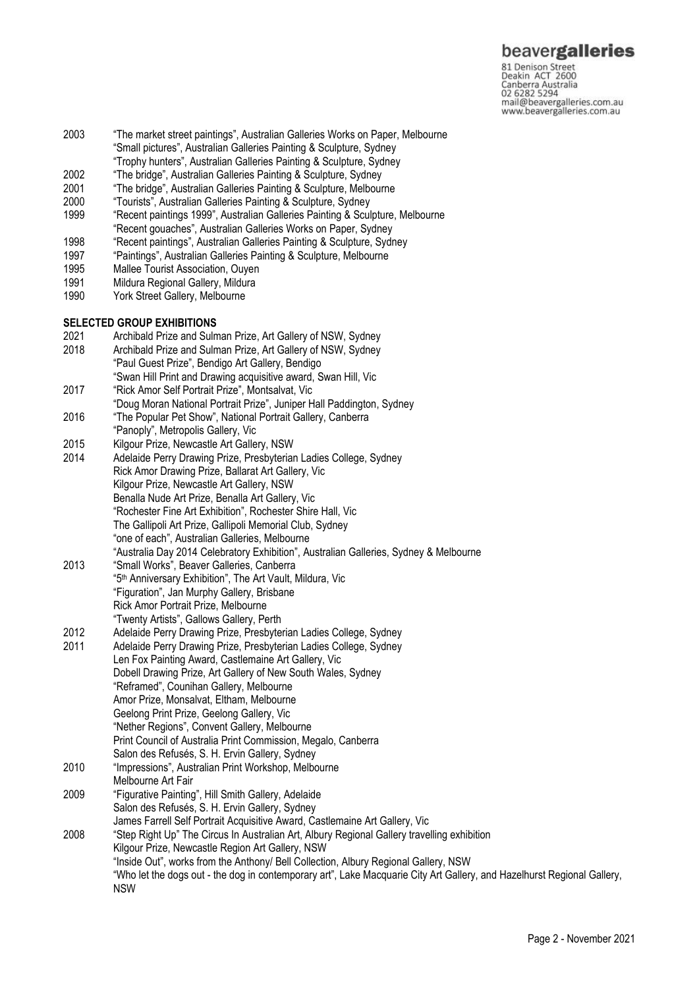# beavergalleries

81 Denison Street<br>Deakin ACT 2600 Canberra Australia 02 6282 5294 mail@beavergalleries.com.au www.beavergalleries.com.au

- 2003 "The market street paintings", Australian Galleries Works on Paper, Melbourne "Small pictures", Australian Galleries Painting & Sculpture, Sydney "Trophy hunters", Australian Galleries Painting & Sculpture, Sydney
- 2002 "The bridge", Australian Galleries Painting & Sculpture, Sydney
- 
- 2001 "The bridge", Australian Galleries Painting & Sculpture, Melbourne<br>2000 "Tourists", Australian Galleries Painting & Sculpture, Sydney
- 2000 "Tourists", Australian Galleries Painting & Sculpture, Sydney 1999 "Recent paintings 1999", Australian Galleries Painting & Sculpture, Melbourne
- "Recent gouaches", Australian Galleries Works on Paper, Sydney
- 1998 "Recent paintings", Australian Galleries Painting & Sculpture, Sydney<br>1997 "Paintings", Australian Galleries Painting & Sculpture, Melbourne
- "Paintings", Australian Galleries Painting & Sculpture, Melbourne
- 1995 Mallee Tourist Association, Ouyen
- 1991 Mildura Regional Gallery, Mildura
- 1990 York Street Gallery, Melbourne

### **SELECTED GROUP EXHIBITIONS**

- 2021 Archibald Prize and Sulman Prize, Art Gallery of NSW, Sydney
- Archibald Prize and Sulman Prize, Art Gallery of NSW, Sydney "Paul Guest Prize", Bendigo Art Gallery, Bendigo "Swan Hill Print and Drawing acquisitive award, Swan Hill, Vic
- 2017 "Rick Amor Self Portrait Prize", Montsalvat, Vic
- "Doug Moran National Portrait Prize", Juniper Hall Paddington, Sydney
- 2016 "The Popular Pet Show", National Portrait Gallery, Canberra "Panoply", Metropolis Gallery, Vic
- 2015 Kilgour Prize, Newcastle Art Gallery, NSW
- 2014 Adelaide Perry Drawing Prize, Presbyterian Ladies College, Sydney Rick Amor Drawing Prize, Ballarat Art Gallery, Vic Kilgour Prize, Newcastle Art Gallery, NSW Benalla Nude Art Prize, Benalla Art Gallery, Vic "Rochester Fine Art Exhibition", Rochester Shire Hall, Vic The Gallipoli Art Prize, Gallipoli Memorial Club, Sydney "one of each", Australian Galleries, Melbourne "Australia Day 2014 Celebratory Exhibition", Australian Galleries, Sydney & Melbourne
- 2013 "Small Works", Beaver Galleries, Canberra "5th Anniversary Exhibition", The Art Vault, Mildura, Vic "Figuration", Jan Murphy Gallery, Brisbane Rick Amor Portrait Prize, Melbourne "Twenty Artists", Gallows Gallery, Perth
- 2012 Adelaide Perry Drawing Prize, Presbyterian Ladies College, Sydney
- 2011 Adelaide Perry Drawing Prize, Presbyterian Ladies College, Sydney
- Len Fox Painting Award, Castlemaine Art Gallery, Vic Dobell Drawing Prize, Art Gallery of New South Wales, Sydney "Reframed", Counihan Gallery, Melbourne Amor Prize, Monsalvat, Eltham, Melbourne Geelong Print Prize, Geelong Gallery, Vic "Nether Regions", Convent Gallery, Melbourne Print Council of Australia Print Commission, Megalo, Canberra Salon des Refusés, S. H. Ervin Gallery, Sydney
- 2010 "Impressions", Australian Print Workshop, Melbourne Melbourne Art Fair
- 2009 "Figurative Painting", Hill Smith Gallery, Adelaide Salon des Refusés, S. H. Ervin Gallery, Sydney
- James Farrell Self Portrait Acquisitive Award, Castlemaine Art Gallery, Vic 2008 "Step Right Up" The Circus In Australian Art, Albury Regional Gallery travelling exhibition Kilgour Prize, Newcastle Region Art Gallery, NSW "Inside Out", works from the Anthony/ Bell Collection, Albury Regional Gallery, NSW "Who let the dogs out - the dog in contemporary art", Lake Macquarie City Art Gallery, and Hazelhurst Regional Gallery, NSW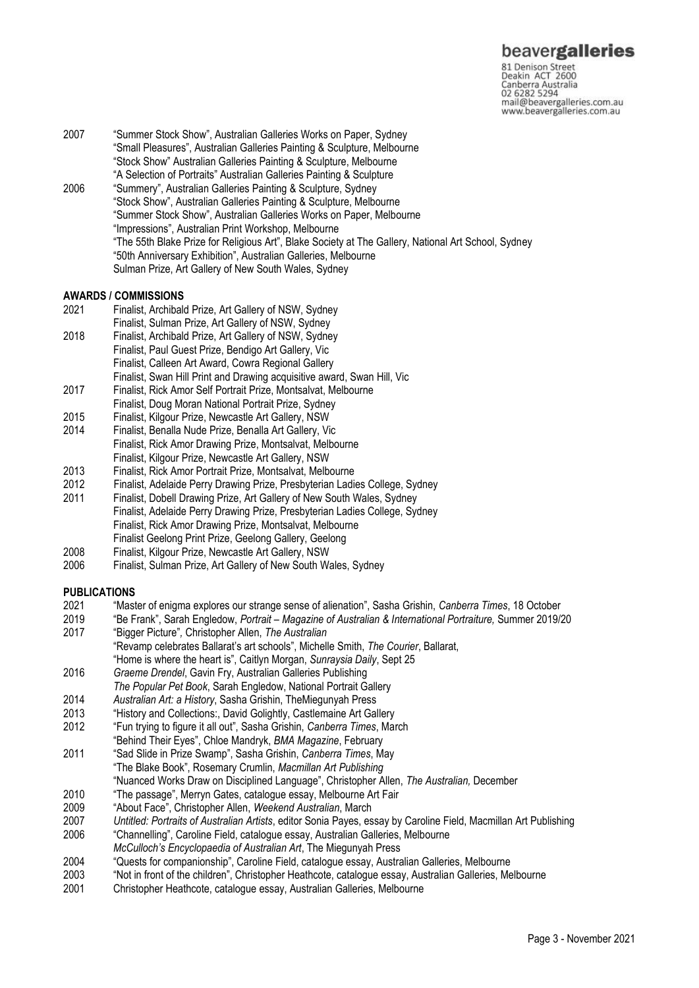81 Denison Street<br>Deakin ACT 2600 Canberra Australia 02 6282 5294 mail@beavergalleries.com.au www.beavergalleries.com.au

- 2007 "Summer Stock Show", Australian Galleries Works on Paper, Sydney "Small Pleasures", Australian Galleries Painting & Sculpture, Melbourne "Stock Show" Australian Galleries Painting & Sculpture, Melbourne "A Selection of Portraits" Australian Galleries Painting & Sculpture 2006 "Summery", Australian Galleries Painting & Sculpture, Sydney "Stock Show", Australian Galleries Painting & Sculpture, Melbourne
	- "Summer Stock Show", Australian Galleries Works on Paper, Melbourne "Impressions", Australian Print Workshop, Melbourne "The 55th Blake Prize for Religious Art", Blake Society at The Gallery, National Art School, Sydney "50th Anniversary Exhibition", Australian Galleries, Melbourne Sulman Prize, Art Gallery of New South Wales, Sydney

### **AWARDS / COMMISSIONS**

- 2021 Finalist, Archibald Prize, Art Gallery of NSW, Sydney
- Finalist, Sulman Prize, Art Gallery of NSW, Sydney
- 2018 Finalist, Archibald Prize, Art Gallery of NSW, Sydney
- Finalist, Paul Guest Prize, Bendigo Art Gallery, Vic
- Finalist, Calleen Art Award, Cowra Regional Gallery
- Finalist, Swan Hill Print and Drawing acquisitive award, Swan Hill, Vic
- 2017 Finalist, Rick Amor Self Portrait Prize, Montsalvat, Melbourne
- Finalist, Doug Moran National Portrait Prize, Sydney
- 2015 Finalist, Kilgour Prize, Newcastle Art Gallery, NSW
- Finalist, Benalla Nude Prize, Benalla Art Gallery, Vic Finalist, Rick Amor Drawing Prize, Montsalvat, Melbourne Finalist, Kilgour Prize, Newcastle Art Gallery, NSW
- 2013 Finalist, Rick Amor Portrait Prize, Montsalvat, Melbourne
- 2012 Finalist, Adelaide Perry Drawing Prize, Presbyterian Ladies College, Sydney
- 2011 Finalist, Dobell Drawing Prize, Art Gallery of New South Wales, Sydney Finalist, Adelaide Perry Drawing Prize, Presbyterian Ladies College, Sydney Finalist, Rick Amor Drawing Prize, Montsalvat, Melbourne Finalist Geelong Print Prize, Geelong Gallery, Geelong
- 2008 Finalist, Kilgour Prize, Newcastle Art Gallery, NSW
- 2006 Finalist, Sulman Prize, Art Gallery of New South Wales, Sydney

#### **PUBLICATIONS**

- 2021 "Master of enigma explores our strange sense of alienation", Sasha Grishin, *Canberra Times*, 18 October
- 2019 "Be Frank", Sarah Engledow, *Portrait – Magazine of Australian & International Portraiture,* Summer 2019/20 2017 "Bigger Picture"*,* Christopher Allen, *The Australian*
- "Revamp celebrates Ballarat's art schools", Michelle Smith, *The Courier*, Ballarat,
- "Home is where the heart is", Caitlyn Morgan, *Sunraysia Daily*, Sept 25
- 2016 *Graeme Drendel*, Gavin Fry, Australian Galleries Publishing
- *The Popular Pet Book*, Sarah Engledow, National Portrait Gallery
- 2014 *Australian Art: a History*, Sasha Grishin, TheMiegunyah Press
- "History and Collections:, David Golightly, Castlemaine Art Gallery
- 2012 "Fun trying to figure it all out", Sasha Grishin, *Canberra Times*, March
- "Behind Their Eyes", Chloe Mandryk, *BMA Magazine*, February
- 2011 "Sad Slide in Prize Swamp", Sasha Grishin, *Canberra Times*, May "The Blake Book", Rosemary Crumlin, *Macmillan Art Publishing* "Nuanced Works Draw on Disciplined Language", Christopher Allen, *The Australian,* December
- 
- 2010 "The passage", Merryn Gates, catalogue essay, Melbourne Art Fair
- 2009 "About Face", Christopher Allen, *Weekend Australian*, March
- 2007 *Untitled: Portraits of Australian Artists*, editor Sonia Payes, essay by Caroline Field, Macmillan Art Publishing
- 2006 "Channelling", Caroline Field, catalogue essay, Australian Galleries, Melbourne *McCulloch's Encyclopaedia of Australian Art*, The Miegunyah Press
- 2004 "Quests for companionship", Caroline Field, catalogue essay, Australian Galleries, Melbourne
- 2003 "Not in front of the children", Christopher Heathcote, catalogue essay, Australian Galleries, Melbourne
- 2001 Christopher Heathcote, catalogue essay, Australian Galleries, Melbourne